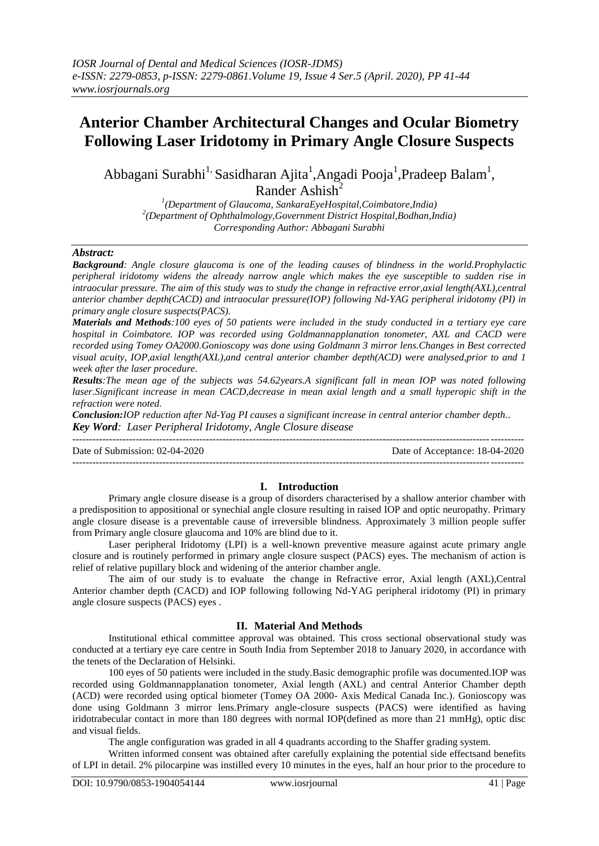# **Anterior Chamber Architectural Changes and Ocular Biometry Following Laser Iridotomy in Primary Angle Closure Suspects**

Abbagani Surabhi<sup>1,</sup> Sasidharan Ajita<sup>1</sup>, Angadi Pooja<sup>1</sup>, Pradeep Balam<sup>1</sup>, Rander Ashish<sup>2</sup>

> *1 (Department of Glaucoma, SankaraEyeHospital,Coimbatore,India) 2 (Department of Ophthalmology,Government District Hospital,Bodhan,India) Corresponding Author: Abbagani Surabhi*

## *Abstract:*

*Background: Angle closure glaucoma is one of the leading causes of blindness in the world.Prophylactic peripheral iridotomy widens the already narrow angle which makes the eye susceptible to sudden rise in intraocular pressure. The aim of this study was to study the change in refractive error,axial length(AXL),central anterior chamber depth(CACD) and intraocular pressure(IOP) following Nd-YAG peripheral iridotomy (PI) in primary angle closure suspects(PACS).*

*Materials and Methods:100 eyes of 50 patients were included in the study conducted in a tertiary eye care hospital in Coimbatore. IOP was recorded using Goldmannapplanation tonometer, AXL and CACD were recorded using Tomey OA2000.Gonioscopy was done using Goldmann 3 mirror lens.Changes in Best corrected visual acuity, IOP,axial length(AXL),and central anterior chamber depth(ACD) were analysed,prior to and 1 week after the laser procedure.*

*Results:The mean age of the subjects was 54.62years.A significant fall in mean IOP was noted following laser.Significant increase in mean CACD,decrease in mean axial length and a small hyperopic shift in the refraction were noted.*

*Conclusion:IOP reduction after Nd-Yag PI causes a significant increase in central anterior chamber depth.. Key Word: Laser Peripheral Iridotomy, Angle Closure disease*

| Date of Submission: 02-04-2020 | Date of Acceptance: 18-04-2020 |
|--------------------------------|--------------------------------|
|                                |                                |

## **I. Introduction**

Primary angle closure disease is a group of disorders characterised by a shallow anterior chamber with a predisposition to appositional or synechial angle closure resulting in raised IOP and optic neuropathy. Primary angle closure disease is a preventable cause of irreversible blindness. Approximately 3 million people suffer from Primary angle closure glaucoma and 10% are blind due to it.

Laser peripheral Iridotomy (LPI) is a well-known preventive measure against acute primary angle closure and is routinely performed in primary angle closure suspect (PACS) eyes. The mechanism of action is relief of relative pupillary block and widening of the anterior chamber angle.

The aim of our study is to evaluate the change in Refractive error, Axial length (AXL), Central Anterior chamber depth (CACD) and IOP following following Nd-YAG peripheral iridotomy (PI) in primary angle closure suspects (PACS) eyes .

## **II. Material And Methods**

Institutional ethical committee approval was obtained. This cross sectional observational study was conducted at a tertiary eye care centre in South India from September 2018 to January 2020, in accordance with the tenets of the Declaration of Helsinki.

100 eyes of 50 patients were included in the study.Basic demographic profile was documented.IOP was recorded using Goldmannapplanation tonometer, Axial length (AXL) and central Anterior Chamber depth (ACD) were recorded using optical biometer (Tomey OA 2000- Axis Medical Canada Inc.). Gonioscopy was done using Goldmann 3 mirror lens.Primary angle-closure suspects (PACS) were identified as having iridotrabecular contact in more than 180 degrees with normal IOP(defined as more than 21 mmHg), optic disc and visual fields.

The angle configuration was graded in all 4 quadrants according to the Shaffer grading system.

Written informed consent was obtained after carefully explaining the potential side effectsand benefits of LPI in detail. 2% pilocarpine was instilled every 10 minutes in the eyes, half an hour prior to the procedure to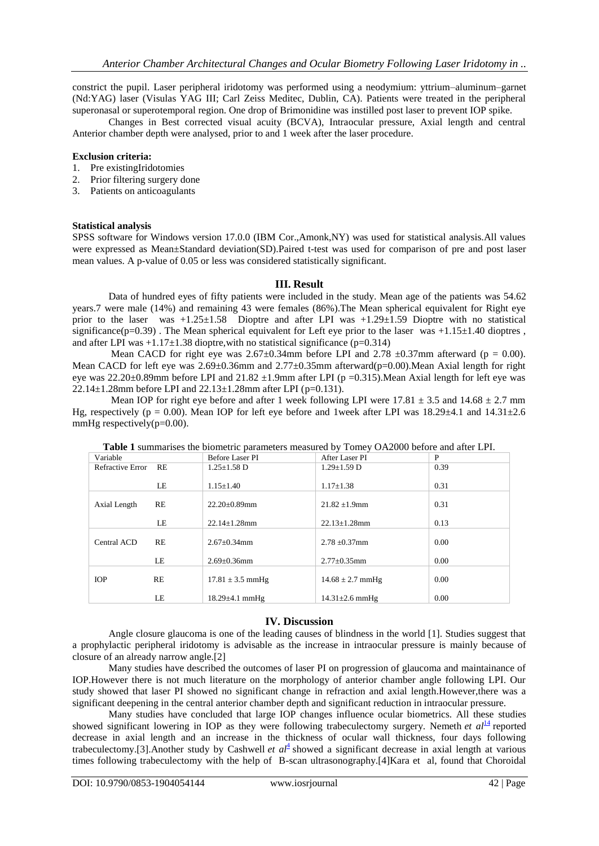constrict the pupil. Laser peripheral iridotomy was performed using a neodymium: yttrium–aluminum–garnet (Nd:YAG) laser (Visulas YAG III; Carl Zeiss Meditec, Dublin, CA). Patients were treated in the peripheral superonasal or superotemporal region. One drop of Brimonidine was instilled post laser to prevent IOP spike.

Changes in Best corrected visual acuity (BCVA), Intraocular pressure, Axial length and central Anterior chamber depth were analysed, prior to and 1 week after the laser procedure.

### **Exclusion criteria:**

- 1. Pre existingIridotomies
- 2. Prior filtering surgery done
- 3. Patients on anticoagulants

### **Statistical analysis**

SPSS software for Windows version 17.0.0 (IBM Cor.,Amonk,NY) was used for statistical analysis.All values were expressed as Mean±Standard deviation(SD).Paired t-test was used for comparison of pre and post laser mean values. A p-value of 0.05 or less was considered statistically significant.

## **III. Result**

Data of hundred eyes of fifty patients were included in the study. Mean age of the patients was 54.62 years.7 were male (14%) and remaining 43 were females (86%).The Mean spherical equivalent for Right eye prior to the laser was  $+1.25\pm1.58$  Dioptre and after LPI was  $+1.29\pm1.59$  Dioptre with no statistical significance( $p=0.39$ ). The Mean spherical equivalent for Left eye prior to the laser was  $+1.15\pm1.40$  dioptres, and after LPI was  $+1.17\pm1.38$  dioptre, with no statistical significance (p=0.314)

Mean CACD for right eye was  $2.67 \pm 0.34$ mm before LPI and  $2.78 \pm 0.37$ mm afterward (p = 0.00). Mean CACD for left eye was  $2.69\pm0.36$ mm and  $2.77\pm0.35$ mm afterward(p=0.00).Mean Axial length for right eye was 22.20±0.89mm before LPI and 21.82  $\pm$ 1.9mm after LPI (p =0.315).Mean Axial length for left eye was 22.14 $\pm$ 1.28mm before LPI and 22.13 $\pm$ 1.28mm after LPI (p=0.131).

Mean IOP for right eye before and after 1 week following LPI were  $17.81 \pm 3.5$  and  $14.68 \pm 2.7$  mm Hg, respectively (p = 0.00). Mean IOP for left eye before and 1week after LPI was  $18.29\pm4.1$  and  $14.31\pm2.6$ mmHg respectively( $p=0.00$ ).

| . <sub>/</sub> <sub>/</sub> |    |                      |                      |      |
|-----------------------------|----|----------------------|----------------------|------|
| Variable                    |    | Before Laser PI      | After Laser PI       | P    |
| Refractive Error RE         |    | $1.25 \pm 1.58$ D    | $1.29 \pm 1.59$ D    | 0.39 |
|                             |    |                      |                      |      |
|                             | LE | $1.15 \pm 1.40$      | $1.17 \pm 1.38$      | 0.31 |
|                             |    |                      |                      |      |
| Axial Length                | RE | $22.20 \pm 0.89$ mm  | $21.82 \pm 1.9$ mm   | 0.31 |
|                             |    |                      |                      |      |
|                             | LE | $22.14 \pm 1.28$ mm  | $22.13 \pm 1.28$ mm  | 0.13 |
|                             |    |                      |                      |      |
| Central ACD                 | RE | $2.67 \pm 0.34$ mm   | $2.78 \pm 0.37$ mm   | 0.00 |
|                             |    |                      |                      |      |
|                             | LE | $2.69 \pm 0.36$ mm   | $2.77 \pm 0.35$ mm   | 0.00 |
|                             |    |                      |                      |      |
| <b>IOP</b>                  | RE | $17.81 \pm 3.5$ mmHg | $14.68 \pm 2.7$ mmHg | 0.00 |
|                             |    |                      |                      |      |
|                             | LE | $18.29 \pm 4.1$ mmHg | $14.31 \pm 2.6$ mmHg | 0.00 |

**Table 1** summarises the biometric parameters measured by Tomey OA2000 before and after LPI.

## **IV. Discussion**

Angle closure glaucoma is one of the leading causes of blindness in the world [1]. Studies suggest that a prophylactic peripheral iridotomy is advisable as the increase in intraocular pressure is mainly because of closure of an already narrow angle.[2]

Many studies have described the outcomes of laser PI on progression of glaucoma and maintainance of IOP.However there is not much literature on the morphology of anterior chamber angle following LPI. Our study showed that laser PI showed no significant change in refraction and axial length.However,there was a significant deepening in the central anterior chamber depth and significant reduction in intraocular pressure.

Many studies have concluded that large IOP changes influence ocular biometrics. All these studies showed significant lowering in IOP as they were following trabeculectomy surgery. Nemeth *et*  $aI<sup>14</sup>$  $aI<sup>14</sup>$  $aI<sup>14</sup>$  reported decrease in axial length and an increase in the thickness of ocular wall thickness, four days following trabecu[l](https://www.ncbi.nlm.nih.gov/pmc/articles/PMC3740312/#bib4)ectomy.[3].Another study by Cashwell *et*  $aI^{\pm}$  showed a significant decrease in axial length at various times following trabeculectomy with the help of B-scan ultrasonography.[4]Kara et al, found that Choroidal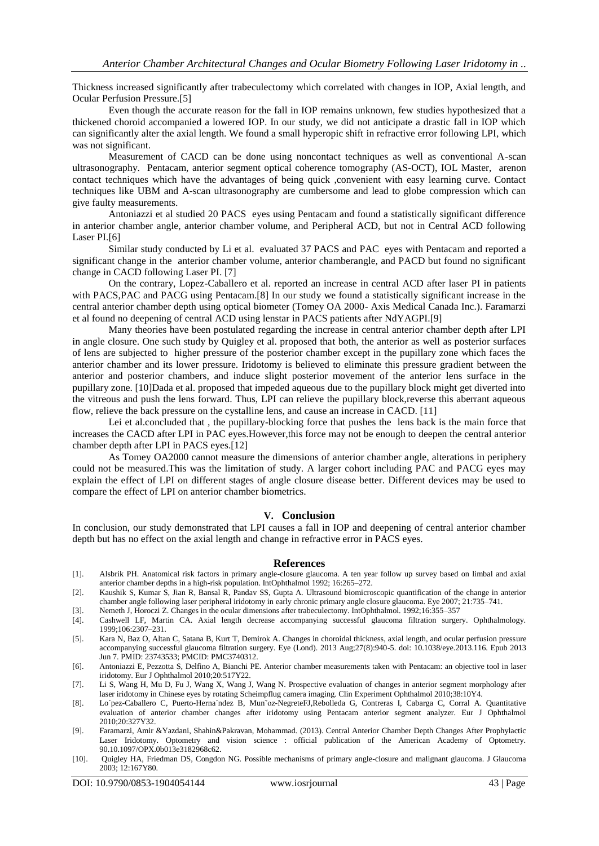Thickness increased significantly after trabeculectomy which correlated with changes in IOP, Axial length, and Ocular Perfusion Pressure.[5]

Even though the accurate reason for the fall in IOP remains unknown, few studies hypothesized that a thickened choroid accompanied a lowered IOP. In our study, we did not anticipate a drastic fall in IOP which can significantly alter the axial length. We found a small hyperopic shift in refractive error following LPI, which was not significant.

Measurement of CACD can be done using noncontact techniques as well as conventional A-scan ultrasonography. Pentacam, anterior segment optical coherence tomography (AS-OCT), IOL Master, arenon contact techniques which have the advantages of being quick ,convenient with easy learning curve. Contact techniques like UBM and A-scan ultrasonography are cumbersome and lead to globe compression which can give faulty measurements.

Antoniazzi et al studied 20 PACS eyes using Pentacam and found a statistically significant difference in anterior chamber angle, anterior chamber volume, and Peripheral ACD, but not in Central ACD following Laser PI.[6]

Similar study conducted by Li et al. evaluated 37 PACS and PAC eyes with Pentacam and reported a significant change in the anterior chamber volume, anterior chamberangle, and PACD but found no significant change in CACD following Laser PI. [7]

On the contrary, Lopez-Caballero et al. reported an increase in central ACD after laser PI in patients with PACS,PAC and PACG using Pentacam.[8] In our study we found a statistically significant increase in the central anterior chamber depth using optical biometer (Tomey OA 2000- Axis Medical Canada Inc.). Faramarzi et al found no deepening of central ACD using lenstar in PACS patients after NdYAGPI.[9]

Many theories have been postulated regarding the increase in central anterior chamber depth after LPI in angle closure. One such study by Quigley et al. proposed that both, the anterior as well as posterior surfaces of lens are subjected to higher pressure of the posterior chamber except in the pupillary zone which faces the anterior chamber and its lower pressure. Iridotomy is believed to eliminate this pressure gradient between the anterior and posterior chambers, and induce slight posterior movement of the anterior lens surface in the pupillary zone. [10]Dada et al. proposed that impeded aqueous due to the pupillary block might get diverted into the vitreous and push the lens forward. Thus, LPI can relieve the pupillary block,reverse this aberrant aqueous flow, relieve the back pressure on the cystalline lens, and cause an increase in CACD. [11]

Lei et al.concluded that , the pupillary-blocking force that pushes the lens back is the main force that increases the CACD after LPI in PAC eyes.However,this force may not be enough to deepen the central anterior chamber depth after LPI in PACS eyes.[12]

As Tomey OA2000 cannot measure the dimensions of anterior chamber angle, alterations in periphery could not be measured.This was the limitation of study. A larger cohort including PAC and PACG eyes may explain the effect of LPI on different stages of angle closure disease better. Different devices may be used to compare the effect of LPI on anterior chamber biometrics.

## **V. Conclusion**

In conclusion, our study demonstrated that LPI causes a fall in IOP and deepening of central anterior chamber depth but has no effect on the axial length and change in refractive error in PACS eyes.

#### **References**

- [1]. Alsbrik PH. Anatomical risk factors in primary angle-closure glaucoma. A ten year follow up survey based on limbal and axial anterior chamber depths in a high-risk population. IntOphthalmol 1992; 16:265–272.
- [2]. Kaushik S, Kumar S, Jian R, Bansal R, Pandav SS, Gupta A. Ultrasound biomicroscopic quantification of the change in anterior chamber angle following laser peripheral iridotomy in early chronic primary angle closure glaucoma. Eye 2007; 21:735–741.
- [3]. Nemeth J, Horoczi Z. Changes in the ocular dimensions after trabeculectomy. IntOphthalmol. 1992;16:355–357
- [4]. Cashwell LF, Martin CA. Axial length decrease accompanying successful glaucoma filtration surgery. Ophthalmology. 1999;106:2307–231.
- [5]. Kara N, Baz O, Altan C, Satana B, Kurt T, Demirok A. Changes in choroidal thickness, axial length, and ocular perfusion pressure accompanying successful glaucoma filtration surgery. Eye (Lond). 2013 Aug;27(8):940-5. doi: 10.1038/eye.2013.116. Epub 2013 Jun 7. PMID: 23743533; PMCID: PMC3740312.
- [6]. Antoniazzi E, Pezzotta S, Delfino A, Bianchi PE. Anterior chamber measurements taken with Pentacam: an objective tool in laser iridotomy. Eur J Ophthalmol 2010;20:517Y22.
- [7]. Li S, Wang H, Mu D, Fu J, Wang X, Wang J, Wang N. Prospective evaluation of changes in anterior segment morphology after laser iridotomy in Chinese eyes by rotating Scheimpflug camera imaging. Clin Experiment Ophthalmol 2010;38:10Y4.
- [8]. Lo´pez-Caballero C, Puerto-Herna´ndez B, Mun˜oz-NegreteFJ,Rebolleda G, Contreras I, Cabarga C, Corral A. Quantitative evaluation of anterior chamber changes after iridotomy using Pentacam anterior segment analyzer. Eur J Ophthalmol 2010;20:327Y32.
- [9]. Faramarzi, Amir &Yazdani, Shahin&Pakravan, Mohammad. (2013). Central Anterior Chamber Depth Changes After Prophylactic Laser Iridotomy. Optometry and vision science : official publication of the American Academy of Optometry. 90.10.1097/OPX.0b013e3182968c62.
- [10]. Quigley HA, Friedman DS, Congdon NG. Possible mechanisms of primary angle-closure and malignant glaucoma. J Glaucoma 2003; 12:167Y80.